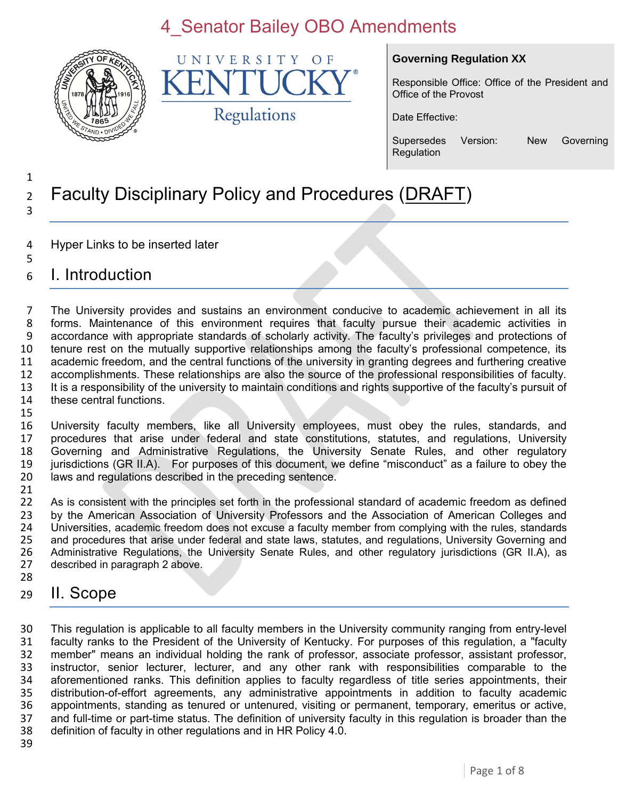

UNIVERSITY OF K Regulations

#### **Governing Regulation XX**

Responsible Office: Office of the President and Office of the Provost

Date Effective:

Supersedes Version: New Governing **Regulation** 

#### 1 <sup>2</sup> Faculty Disciplinary Policy and Procedures (DRAFT) 3

- 4 Hyper Links to be inserted later
- 6 I. Introduction

5

 The University provides and sustains an environment conducive to academic achievement in all its forms. Maintenance of this environment requires that faculty pursue their academic activities in accordance with appropriate standards of scholarly activity. The faculty's privileges and protections of tenure rest on the mutually supportive relationships among the faculty's professional competence, its academic freedom, and the central functions of the university in granting degrees and furthering creative accomplishments. These relationships are also the source of the professional responsibilities of faculty. It is a responsibility of the university to maintain conditions and rights supportive of the faculty's pursuit of these central functions. 15

 University faculty members, like all University employees, must obey the rules, standards, and procedures that arise under federal and state constitutions, statutes, and regulations, University Governing and Administrative Regulations, the University Senate Rules, and other regulatory jurisdictions (GR II.A). For purposes of this document, we define "misconduct" as a failure to obey the laws and regulations described in the preceding sentence.

21<br>22 As is consistent with the principles set forth in the professional standard of academic freedom as defined 23 by the American Association of University Professors and the Association of American Colleges and<br>24 Universities, academic freedom does not excuse a faculty member from complying with the rules, standards 24 Universities, academic freedom does not excuse a faculty member from complying with the rules, standards<br>25 and procedures that arise under federal and state laws, statutes, and regulations, University Governing and 25 and procedures that arise under federal and state laws, statutes, and regulations, University Governing and<br>26 Administrative Regulations, the University Senate Rules, and other regulatory jurisdictions (GR II.A), as 26 Administrative Regulations, the University Senate Rules, and other regulatory jurisdictions (GR II.A), as 27 described in paragraph 2 above. described in paragraph 2 above. 28

29 II. Scope

 This regulation is applicable to all faculty members in the University community ranging from entry-level faculty ranks to the President of the University of Kentucky. For purposes of this regulation, a "faculty member" means an individual holding the rank of professor, associate professor, assistant professor, instructor, senior lecturer, lecturer, and any other rank with responsibilities comparable to the aforementioned ranks. This definition applies to faculty regardless of title series appointments, their distribution-of-effort agreements, any administrative appointments in addition to faculty academic 36 appointments, standing as tenured or untenured, visiting or permanent, temporary, emeritus or active, 37 and full-time or part-time status. The definition of university faculty in this regulation is broader than the and full-time or part-time status. The definition of university faculty in this regulation is broader than the definition of faculty in other regulations and in HR Policy 4.0.

39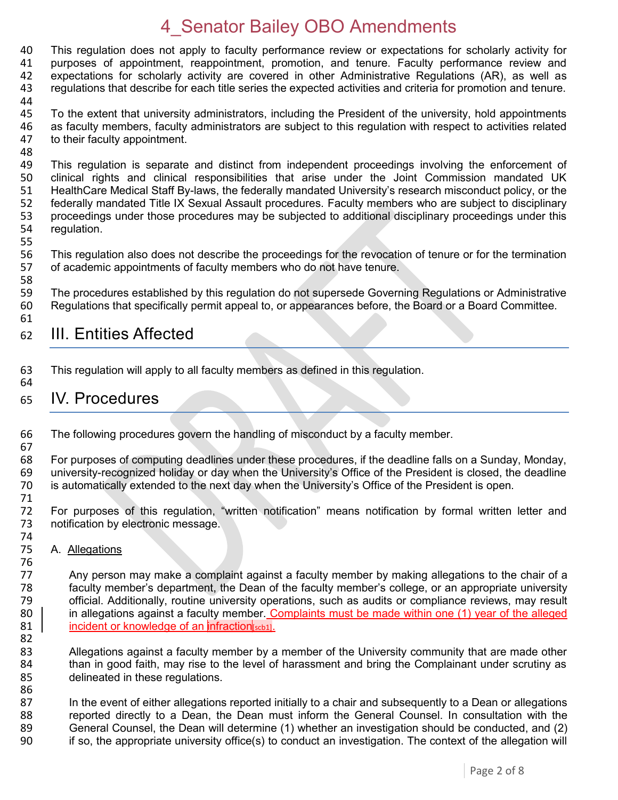40 This regulation does not apply to faculty performance review or expectations for scholarly activity for 41 purposes of appointment, reappointment, promotion, and tenure, Faculty performance review and 41 purposes of appointment, reappointment, promotion, and tenure. Faculty performance review and 42 expectations for scholarly activity are covered in other Administrative Regulations (AR), as well as 43 regulations that describe for each title series the expected activities and criteria for promotion and tenure. 44

- 45 To the extent that university administrators, including the President of the university, hold appointments 46 as faculty members, faculty administrators are subject to this regulation with respect to activities related 47 to their faculty appointment. to their faculty appointment.
- 48<br>49 49 This regulation is separate and distinct from independent proceedings involving the enforcement of 400 Clinical rights and clinical responsibilities that arise under the Joint Commission mandated UK clinical rights and clinical responsibilities that arise under the Joint Commission mandated UK 51 HealthCare Medical Staff By-laws, the federally mandated University's research misconduct policy, or the 52 federally mandated Title IX Sexual Assault procedures. Faculty members who are subject to disciplinary<br>53 proceedings under those procedures may be subjected to additional disciplinary proceedings under this 53 proceedings under those procedures may be subjected to additional disciplinary proceedings under this 54 requilation. regulation.
- 55

58

67

56 This regulation also does not describe the proceedings for the revocation of tenure or for the termination<br>57 of academic appointments of faculty members who do not have tenure. of academic appointments of faculty members who do not have tenure.

59 The procedures established by this regulation do not supersede Governing Regulations or Administrative 60 Regulations that specifically permit appeal to, or appearances before, the Board or a Board Committee. 61

#### 62 III. Entities Affected

63 This regulation will apply to all faculty members as defined in this regulation. 64

#### 65 IV. Procedures

66 The following procedures govern the handling of misconduct by a faculty member.

68 For purposes of computing deadlines under these procedures, if the deadline falls on a Sunday, Monday, 69 university-recognized holiday or day when the University's Office of the President is closed, the deadline university-recognized holiday or day when the University's Office of the President is closed, the deadline 70 is automatically extended to the next day when the University's Office of the President is open.

71 For purposes of this regulation, "written notification" means notification by formal written letter and 73 notification by electronic message.

74<br>75 A. Allegations

76<br>77 Any person may make a complaint against a faculty member by making allegations to the chair of a 78 faculty member's department, the Dean of the faculty member's college, or an appropriate university 79 official. Additionally, routine university operations, such as audits or compliance reviews, may result 80 in allegations against a faculty member. Complaints must be made within one (1) year of the alleged 81 incident or knowledge of an infraction scb1.

82<br>83 Allegations against a faculty member by a member of the University community that are made other 84 than in good faith, may rise to the level of harassment and bring the Complainant under scrutiny as delineated in these requlations. delineated in these regulations. 86

87 In the event of either allegations reported initially to a chair and subsequently to a Dean or allegations 88 reported directly to a Dean, the Dean must inform the General Counsel. In consultation with the<br>89 General Counsel, the Dean will determine (1) whether an investigation should be conducted, and (2) 89 General Counsel, the Dean will determine (1) whether an investigation should be conducted, and (2)<br>90 fiso, the appropriate university office(s) to conduct an investigation. The context of the allegation will 90 if so, the appropriate university office(s) to conduct an investigation. The context of the allegation will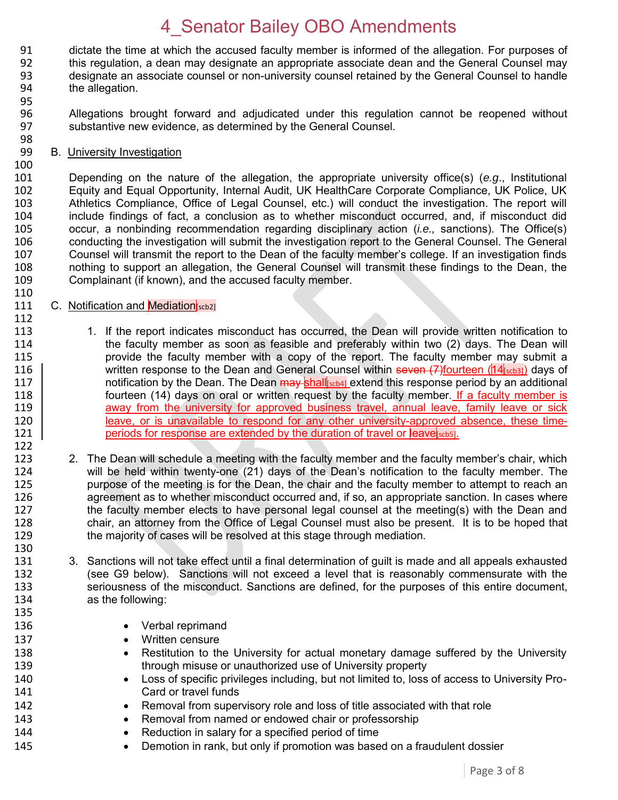91 dictate the time at which the accused faculty member is informed of the allegation. For purposes of 92 this requilation, a dean may designate an appropriate associate dean and the General Counsel may this regulation, a dean may designate an appropriate associate dean and the General Counsel may designate an associate counsel or non-university counsel retained by the General Counsel to handle the allegation.

- 96 Allegations brought forward and adjudicated under this regulation cannot be reopened without 97 substantive new evidence, as determined by the General Counsel.
- 98 **B.** University Investigation
- 100<br>101

110

112

122

95

101 Depending on the nature of the allegation, the appropriate university office(s) (*e.g*., Institutional 102 Equity and Equal Opportunity, Internal Audit, UK HealthCare Corporate Compliance, UK Police, UK 103 Athletics Compliance, Office of Legal Counsel, etc.) will conduct the investigation. The report will<br>104 include findings of fact, a conclusion as to whether misconduct occurred, and, if misconduct did 104 include findings of fact, a conclusion as to whether misconduct occurred, and, if misconduct did<br>105 occur. a nonbinding recommendation regarding disciplinary action (*i.e.*, sanctions). The Office(s) 105 occur, a nonbinding recommendation regarding disciplinary action (*i.e.,* sanctions). The Office(s) 106 conducting the investigation will submit the investigation report to the General Counsel. The General 107 Counsel will transmit the report to the Dean of the faculty member's college. If an investigation finds<br>108 nothing to support an allegation, the General Counsel will transmit these findings to the Dean, the nothing to support an allegation, the General Counsel will transmit these findings to the Dean, the 109 Complainant (if known), and the accused faculty member.

- 111 C. Notification and **Mediation** [scb2]
- 113 113 1. If the report indicates misconduct has occurred, the Dean will provide written notification to<br>114 the faculty member as soon as feasible and preferably within two (2) days. The Dean will 114 the faculty member as soon as feasible and preferably within two (2) days. The Dean will<br>115 oriovide the faculty member with a copy of the report. The faculty member may submit a provide the faculty member with a copy of the report. The faculty member may submit a 116 written response to the Dean and General Counsel within seven  $(7)$  fourteen  $(14$ <sub>scb31</sub>) days of 117 **notification by the Dean. The Dean <del>may s</del>hall**[scb4] extend this response period by an additional 118 | fourteen (14) days on oral or written request by the faculty member. If a faculty member is 119 away from the university for approved business travel, annual leave, family leave or sick<br>120 **and Exercis 120** leave, or is unavailable to respond for any other university-approved absence, these time-120 leave, or is unavailable to respond for any other university-approved absence, these time-<br>121 periods for response are extended by the duration of travel or leave scots. periods for response are extended by the duration of travel or leave [scb5].
- 123 2. The Dean will schedule a meeting with the faculty member and the faculty member's chair, which 124 will be held within twenty-one (21) days of the Dean's notification to the faculty member. The 125 purpose of the meeting is for the Dean, the chair and the faculty member to attempt to reach an 126 agreement as to whether misconduct occurred and, if so, an appropriate sanction. In cases where 127 the faculty member elects to have personal legal counsel at the meeting(s) with the Dean and 128 chair, an attorney from the Office of Legal Counsel must also be present. It is to be hoped that 129 the maiority of cases will be resolved at this stage through mediation. the maiority of cases will be resolved at this stage through mediation.
- 130<br>131 3. Sanctions will not take effect until a final determination of guilt is made and all appeals exhausted 132 (see G9 below). Sanctions will not exceed a level that is reasonably commensurate with the 133 seriousness of the misconduct. Sanctions are defined, for the purposes of this entire document, 134 as the following: 135
- 136 **COVER 136 COVER 136 COVER 136**
- 137 **Written censure**
- 138 **•** Restitution to the University for actual monetary damage suffered by the University 139 through misuse or unauthorized use of University property
- 140 Loss of specific privileges including, but not limited to, loss of access to University Pro-141 Card or travel funds
- 142 **•** Removal from supervisory role and loss of title associated with that role
- 143 **•** Removal from named or endowed chair or professorship
- 144 **BEAT CONCOCO EXAMPLE 144 Reduction in salary for a specified period of time**
- 145 **•** Demotion in rank, but only if promotion was based on a fraudulent dossier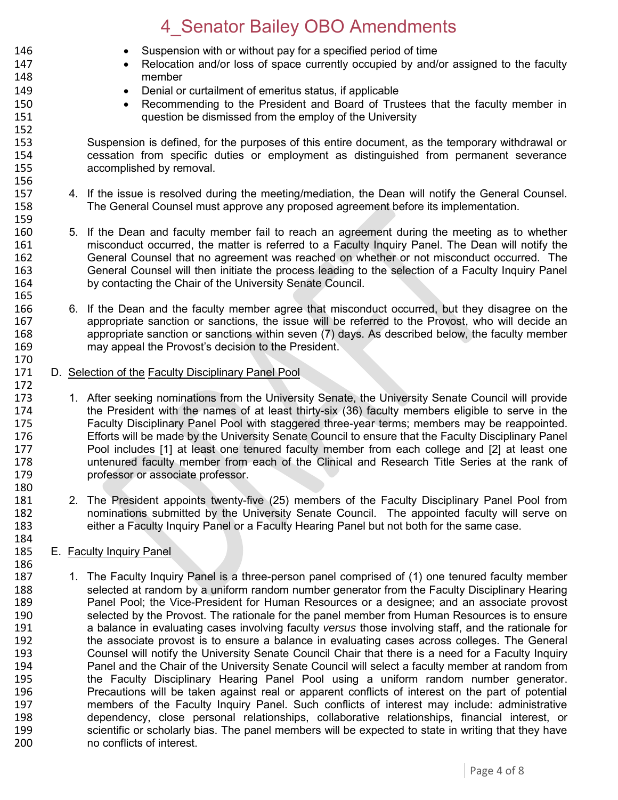146 Suspension with or without pay for a specified period of time

147 **•** Relocation and/or loss of space currently occupied by and/or assigned to the faculty member member 149 **Denial or curtailment of emeritus status, if applicable** 150 **Recommending to the President and Board of Trustees that the faculty member in**<br>151 **ILCO** question be dismissed from the employ of the University question be dismissed from the employ of the University 152 153 Suspension is defined, for the purposes of this entire document, as the temporary withdrawal or<br>154 cessation from specific duties or employment as distinguished from permanent severance 154 cessation from specific duties or employment as distinguished from permanent severance accomplished by removal. 156 157 4. If the issue is resolved during the meeting/mediation, the Dean will notify the General Counsel. 158 The General Counsel must approve any proposed agreement before its implementation. 159 160 5. If the Dean and faculty member fail to reach an agreement during the meeting as to whether<br>161 **161** misconduct occurred, the matter is referred to a Faculty Inquiry Panel. The Dean will notify the 161 misconduct occurred, the matter is referred to a Faculty Inquiry Panel. The Dean will notify the<br>162 General Counsel that no agreement was reached on whether or not misconduct occurred. The 162 General Counsel that no agreement was reached on whether or not misconduct occurred. The 163 General Counsel will then initiate the process leading to the selection of a Faculty Inquiry Panel 164 by contacting the Chair of the University Senate Council. 165 166 6. If the Dean and the faculty member agree that misconduct occurred, but they disagree on the 167 appropriate sanction or sanctions, the issue will be referred to the Provost, who will decide an 168 appropriate sanction or sanctions within seven (7) days. As described below, the faculty member appropriate sanction or sanctions within seven (7) days. As described below, the faculty member 169 may appeal the Provost's decision to the President. 170<br>171 D. Selection of the Faculty Disciplinary Panel Pool 172 173 1. After seeking nominations from the University Senate, the University Senate Council will provide<br>174 the President with the names of at least thirty-six (36) faculty members eligible to serve in the 174 the President with the names of at least thirty-six (36) faculty members eligible to serve in the<br>175 **Eaculty Disciplinary Panel Pool with staggered three-vear terms: members may be reappointed.** 175 Faculty Disciplinary Panel Pool with staggered three-year terms; members may be reappointed.<br>176 Ffforts will be made by the University Senate Council to ensure that the Faculty Disciplinary Panel 176 Efforts will be made by the University Senate Council to ensure that the Faculty Disciplinary Panel<br>177 Pool includes [1] at least one tenured faculty member from each college and [2] at least one 177 177 Pool includes [1] at least one tenured faculty member from each college and [2] at least one<br>178 178 untenured faculty member from each of the Clinical and Research Title Series at the rank of untenured faculty member from each of the Clinical and Research Title Series at the rank of 179 professor or associate professor. 180 181 2. The President appoints twenty-five (25) members of the Faculty Disciplinary Panel Pool from 182 nominations submitted by the University Senate Council. The appointed faculty will serve on 183 either a Faculty Inquiry Panel or a Faculty Hearing Panel but not both for the same case. 184<br>185 E. Faculty Inquiry Panel 186 187 1. The Faculty Inquiry Panel is a three-person panel comprised of (1) one tenured faculty member 188 selected at random by a uniform random number generator from the Faculty Disciplinary Hearing 189 Panel Pool; the Vice-President for Human Resources or a designee; and an associate provost 190 selected by the Provost. The rationale for the panel member from Human Resources is to ensure<br>191 a balance in evaluating cases involving faculty versus those involving staff, and the rationale for 191 a balance in evaluating cases involving faculty *versus* those involving staff, and the rationale for 192 the associate provost is to ensure a balance in evaluating cases across colleges. The General 193 Counsel will notify the University Senate Council Chair that there is a need for a Faculty Inquiry 194 Panel and the Chair of the University Senate Council will select a faculty member at random from 195 the Faculty Disciplinary Hearing Panel Pool using a uniform random number generator. 196 Precautions will be taken against real or apparent conflicts of interest on the part of potential 197 members of the Faculty Inquiry Panel. Such conflicts of interest may include: administrative 198 dependency, close personal relationships, collaborative relationships, financial interest, or<br>199 scientific or scholarly bias. The panel members will be expected to state in writing that they have scientific or scholarly bias. The panel members will be expected to state in writing that they have 200 no conflicts of interest.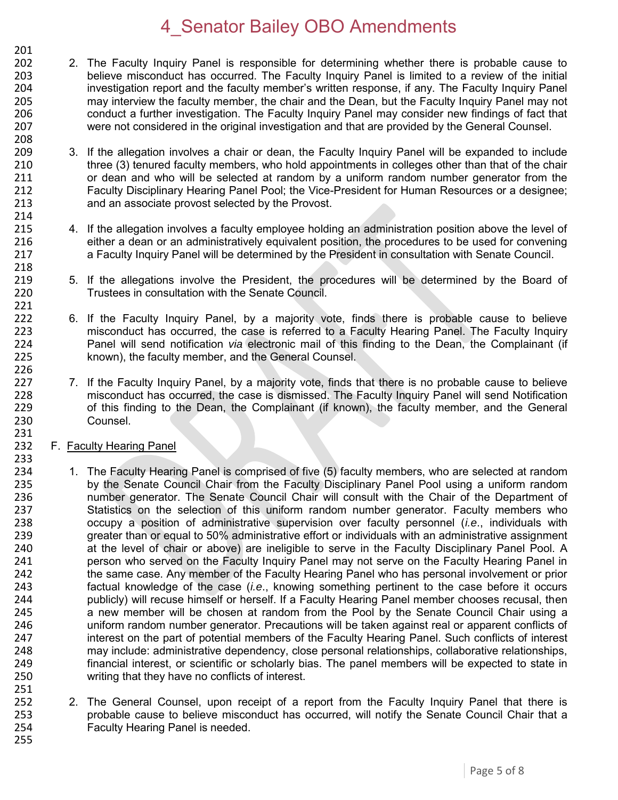- 201<br>202 2. The Faculty Inquiry Panel is responsible for determining whether there is probable cause to 203 believe misconduct has occurred. The Faculty Inquiry Panel is limited to a review of the initial 204 investigation report and the faculty member's written response, if any. The Faculty Inquiry Panel 205 may interview the faculty member, the chair and the Dean, but the Faculty Inquiry Panel may not 206 conduct a further investigation. The Faculty Inquiry Panel may consider new findings of fact that 207 were not considered in the original investigation and that are provided by the General Counsel.
- 209 3. If the allegation involves a chair or dean, the Faculty Inquiry Panel will be expanded to include 210 three (3) tenured faculty members, who hold appointments in colleges other than that of the chair<br>211 or dean and who will be selected at random by a uniform random number generator from the or dean and who will be selected at random by a uniform random number generator from the 212 Faculty Disciplinary Hearing Panel Pool; the Vice-President for Human Resources or a designee; 213 and an associate provost selected by the Provost.
- 215 4. If the allegation involves a faculty employee holding an administration position above the level of 216 either a dean or an administratively equivalent position, the procedures to be used for convening either a dean or an administratively equivalent position, the procedures to be used for convening 217 a Faculty Inquiry Panel will be determined by the President in consultation with Senate Council.
- 219 5. If the allegations involve the President, the procedures will be determined by the Board of 220 Trustees in consultation with the Senate Council.
- 222 6. If the Faculty Inquiry Panel, by a majority vote, finds there is probable cause to believe 223 misconduct has occurred, the case is referred to a Faculty Hearing Panel. The Faculty Inquiry<br>224 Panel will send notification *via* electronic mail of this finding to the Dean, the Complainant (if 224 Panel will send notification *via* electronic mail of this finding to the Dean, the Complainant (if known), the faculty member, and the General Counsel.
- 227 7. If the Faculty Inquiry Panel, by a majority vote, finds that there is no probable cause to believe 228 misconduct has occurred, the case is dismissed. The Faculty Inquiry Panel will send Notification<br>229 of this finding to the Dean, the Complainant (if known), the faculty member, and the General 229 of this finding to the Dean, the Complainant (if known), the faculty member, and the General 230 Counsel.
- 231<br>232 F. Faculty Hearing Panel

208

214<br>215

218

221

226

233

251

- 234 1. The Faculty Hearing Panel is comprised of five (5) faculty members, who are selected at random 235 by the Senate Council Chair from the Faculty Disciplinary Panel Pool using a uniform random 236 number generator. The Senate Council Chair will consult with the Chair of the Department of 237 Statistics on the selection of this uniform random number generator. Faculty members who 238 occupy a position of administrative supervision over faculty personnel (*i.e*., individuals with 239 greater than or equal to 50% administrative effort or individuals with an administrative assignment<br>240 at the level of chair or above) are ineligible to serve in the Faculty Disciplinary Panel Pool. A 240 at the level of chair or above) are ineligible to serve in the Faculty Disciplinary Panel Pool. A<br>241 serve on the Served on the Faculty Inguiry Panel may not serve on the Faculty Hearing Panel in 241 person who served on the Faculty Inquiry Panel may not serve on the Faculty Hearing Panel in 242 the same case. Any member of the Faculty Hearing Panel who has personal involvement or prior 243 factual knowledge of the case (*i.e*., knowing something pertinent to the case before it occurs 244 publicly) will recuse himself or herself. If a Faculty Hearing Panel member chooses recusal, then a new member will be chosen at random from the Pool by the Senate Council Chair using a 246 uniform random number generator. Precautions will be taken against real or apparent conflicts of 247 interest on the part of potential members of the Faculty Hearing Panel. Such conflicts of interest 248 may include: administrative dependency, close personal relationships, collaborative relationships, 249 financial interest, or scientific or scholarly bias. The panel members will be expected to state in 250 writing that they have no conflicts of interest.
- 252 2. The General Counsel, upon receipt of a report from the Faculty Inquiry Panel that there is<br>253 brobable cause to believe misconduct has occurred, will notify the Senate Council Chair that a 253 probable cause to believe misconduct has occurred, will notify the Senate Council Chair that a<br>254 Faculty Hearing Panel is needed. Faculty Hearing Panel is needed. 255
	- Page 5 of 8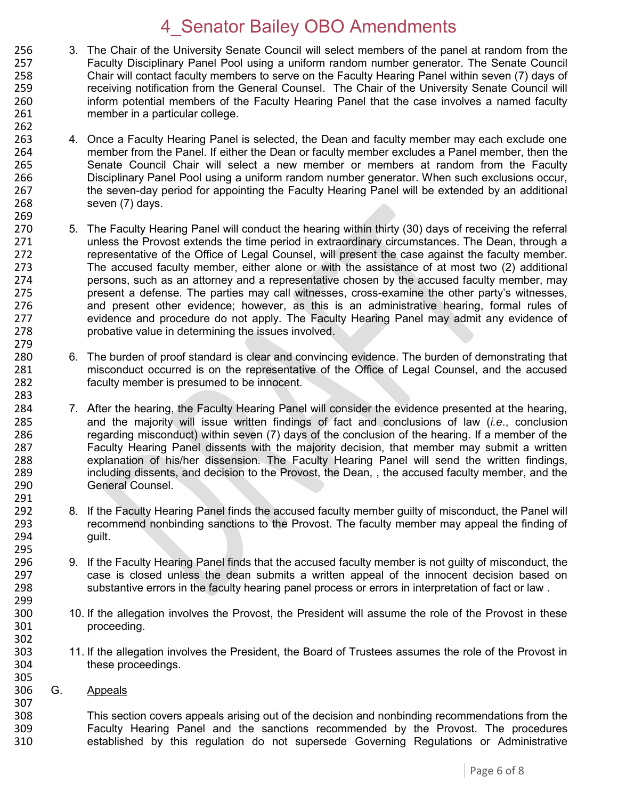- 256 3. The Chair of the University Senate Council will select members of the panel at random from the 257 Faculty Disciplinary Panel Pool using a uniform random number generator. The Senate Council 257 Faculty Disciplinary Panel Pool using a uniform random number generator. The Senate Council 258 Chair will contact faculty members to serve on the Faculty Hearing Panel within seven (7) days of 259 receiving notification from the General Counsel. The Chair of the University Senate Council will 260 inform potential members of the Faculty Hearing Panel that the case involves a named faculty 261 member in a particular college.
- 262<br>263 263 4. Once a Faculty Hearing Panel is selected, the Dean and faculty member may each exclude one<br>264 member from the Panel. If either the Dean or faculty member excludes a Panel member, then the 264 member from the Panel. If either the Dean or faculty member excludes a Panel member, then the 265 265 Senate Council Chair will select a new member or members at random from the Faculty<br>266 Disciplinary Panel Pool using a uniform random number generator. When such exclusions occur. Disciplinary Panel Pool using a uniform random number generator. When such exclusions occur, 267 the seven-day period for appointing the Faculty Hearing Panel will be extended by an additional 268 seven (7) days.
- 269<br>270 270 5. The Faculty Hearing Panel will conduct the hearing within thirty (30) days of receiving the referral<br>271 unless the Provost extends the time period in extraordinary circumstances. The Dean, through a unless the Provost extends the time period in extraordinary circumstances. The Dean, through a 272 representative of the Office of Legal Counsel, will present the case against the faculty member.<br>273 The accused faculty member, either alone or with the assistance of at most two (2) additional The accused faculty member, either alone or with the assistance of at most two (2) additional 274 persons, such as an attorney and a representative chosen by the accused faculty member, may 275 present a defense. The parties may call witnesses, cross-examine the other party's witnesses, 276 and present other evidence; however, as this is an administrative hearing, formal rules of 277 evidence and procedure do not apply. The Faculty Hearing Panel may admit any evidence of 278 probative value in determining the issues involved. 279<br>280
- 280 6. The burden of proof standard is clear and convincing evidence. The burden of demonstrating that 281 misconduct occurred is on the representative of the Office of Legal Counsel, and the accused 282 faculty member is presumed to be innocent.
- 284 7. After the hearing, the Faculty Hearing Panel will consider the evidence presented at the hearing, 285 and the majority will issue written findings of fact and conclusions of law (*i.e*., conclusion 286 regarding misconduct) within seven (7) days of the conclusion of the hearing. If a member of the 287 Faculty Hearing Panel dissents with the majority decision, that member may submit a written 288 explanation of his/her dissension. The Faculty Hearing Panel will send the written findings,<br>289 holding dissents, and decision to the Provost, the Dean., the accused faculty member, and the 289 including dissents, and decision to the Provost, the Dean, , the accused faculty member, and the 290 General Counsel. 291<br>292
- 8. If the Faculty Hearing Panel finds the accused faculty member guilty of misconduct, the Panel will 293 recommend nonbinding sanctions to the Provost. The faculty member may appeal the finding of 294 guilt.
- 296 9. If the Faculty Hearing Panel finds that the accused faculty member is not guilty of misconduct, the 297 case is closed unless the dean submits a written appeal of the innocent decision based on case is closed unless the dean submits a written appeal of the innocent decision based on 298 substantive errors in the faculty hearing panel process or errors in interpretation of fact or law .
- 300 10. If the allegation involves the Provost, the President will assume the role of the Provost in these<br>301 **10. Proceeding** proceeding.
- 303 11. If the allegation involves the President, the Board of Trustees assumes the role of the Provost in 304 these proceedings.
- 305<br>306 G. Appeals

283

295<br>296

299<br>300

302

307

308 This section covers appeals arising out of the decision and nonbinding recommendations from the 309 Faculty Hearing Panel and the sanctions recommended by the Provost. The procedures 310 established by this regulation do not supersede Governing Regulations or Administrative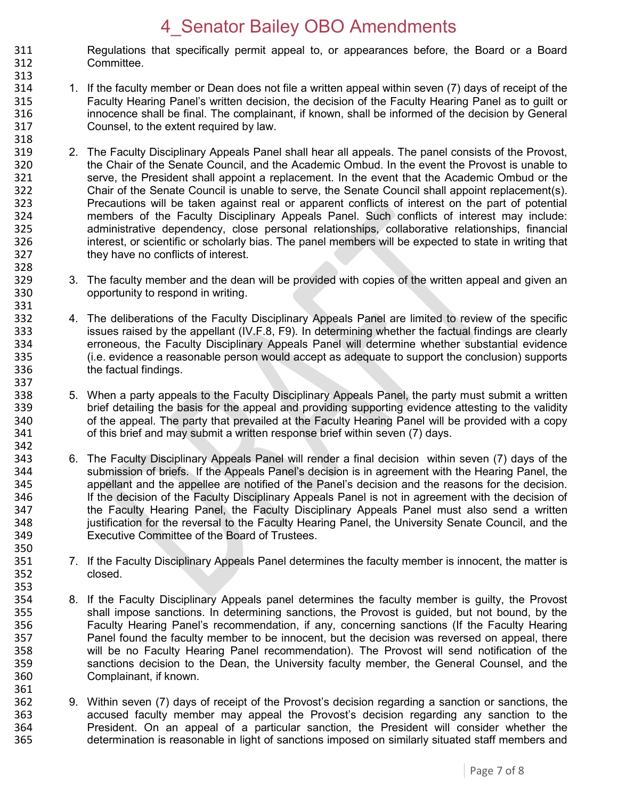311 Regulations that specifically permit appeal to, or appearances before, the Board or a Board 312 Committee.

313

328

331

337

350<br>351

353

361

- 314 1. If the faculty member or Dean does not file a written appeal within seven (7) days of receipt of the 315 Faculty Hearing Panel's written decision, the decision of the Faculty Hearing Panel as to guilt or 316 innocence shall be final. The complainant, if known, shall be informed of the decision by General 317 Counsel, to the extent required by law.
- 318<br>319 319 2. The Faculty Disciplinary Appeals Panel shall hear all appeals. The panel consists of the Provost,<br>320 the Chair of the Senate Council, and the Academic Ombud. In the event the Provost is unable to 320 the Chair of the Senate Council, and the Academic Ombud. In the event the Provost is unable to<br>321 serve, the President shall appoint a replacement. In the event that the Academic Ombud or the serve, the President shall appoint a replacement. In the event that the Academic Ombud or the 322 Chair of the Senate Council is unable to serve, the Senate Council shall appoint replacement(s). 323 Precautions will be taken against real or apparent conflicts of interest on the part of potential<br>324 members of the Faculty Disciplinary Appeals Panel. Such conflicts of interest may include: 324 members of the Faculty Disciplinary Appeals Panel. Such conflicts of interest may include:<br>325 administrative dependency, close personal relationships, collaborative relationships, financial 325 administrative dependency, close personal relationships, collaborative relationships, financial<br>326 http://www.interest.or scientific or scholarly bias. The panel members will be expected to state in writing that interest, or scientific or scholarly bias. The panel members will be expected to state in writing that 327 they have no conflicts of interest.
- 329 3. The faculty member and the dean will be provided with copies of the written appeal and given an 330 opportunity to respond in writing.
- 332 4. The deliberations of the Faculty Disciplinary Appeals Panel are limited to review of the specific 333 issues raised by the appellant (IV.F.8, F9). In determining whether the factual findings are clearly<br>334 erroneous, the Faculty Disciplinary Appeals Panel will determine whether substantial evidence 334 erroneous, the Faculty Disciplinary Appeals Panel will determine whether substantial evidence<br>335 (i.e. evidence a reasonable person would accept as adequate to support the conclusion) supports 335 (i.e. evidence a reasonable person would accept as adequate to support the conclusion) supports 336 the factual findings.
- 338 5. When a party appeals to the Faculty Disciplinary Appeals Panel, the party must submit a written 339 brief detailing the basis for the appeal and providing supporting evidence attesting to the validity<br>340 of the appeal. The party that prevailed at the Faculty Hearing Panel will be provided with a copy 340 of the appeal. The party that prevailed at the Faculty Hearing Panel will be provided with a copy<br>341 of this brief and may submit a written response brief within seven (7) days. of this brief and may submit a written response brief within seven (7) days. 342
- 343 6. The Faculty Disciplinary Appeals Panel will render a final decision within seven (7) days of the 344 submission of briefs. If the Appeals Panel's decision is in agreement with the Hearing Panel, the 345 appellant and the appellee are notified of the Panel's decision and the reasons for the decision. 346 If the decision of the Faculty Disciplinary Appeals Panel is not in agreement with the decision of 347 the Faculty Hearing Panel, the Faculty Disciplinary Appeals Panel must also send a written 348 justification for the reversal to the Faculty Hearing Panel, the University Senate Council, and the 349 Executive Committee of the Board of Trustees.
- 7. If the Faculty Disciplinary Appeals Panel determines the faculty member is innocent, the matter is 352 closed.
- 354 8. If the Faculty Disciplinary Appeals panel determines the faculty member is guilty, the Provost 355 shall impose sanctions. In determining sanctions, the Provost is quided, but not bound, by the shall impose sanctions. In determining sanctions, the Provost is guided, but not bound, by the 356 Faculty Hearing Panel's recommendation, if any, concerning sanctions (If the Faculty Hearing 357 Panel found the faculty member to be innocent, but the decision was reversed on appeal, there<br>358 will be no Faculty Hearing Panel recommendation). The Provost will send notification of the will be no Faculty Hearing Panel recommendation). The Provost will send notification of the 359 sanctions decision to the Dean, the University faculty member, the General Counsel, and the 360 Complainant, if known.
- 362 9. Within seven (7) days of receipt of the Provost's decision regarding a sanction or sanctions, the 363 363 accused faculty member may appeal the Provost's decision regarding any sanction to the<br>364 569 President. On an appeal of a particular sanction, the President will consider whether the 364 President. On an appeal of a particular sanction, the President will consider whether the 365 determination is reasonable in light of sanctions imposed on similarly situated staff members and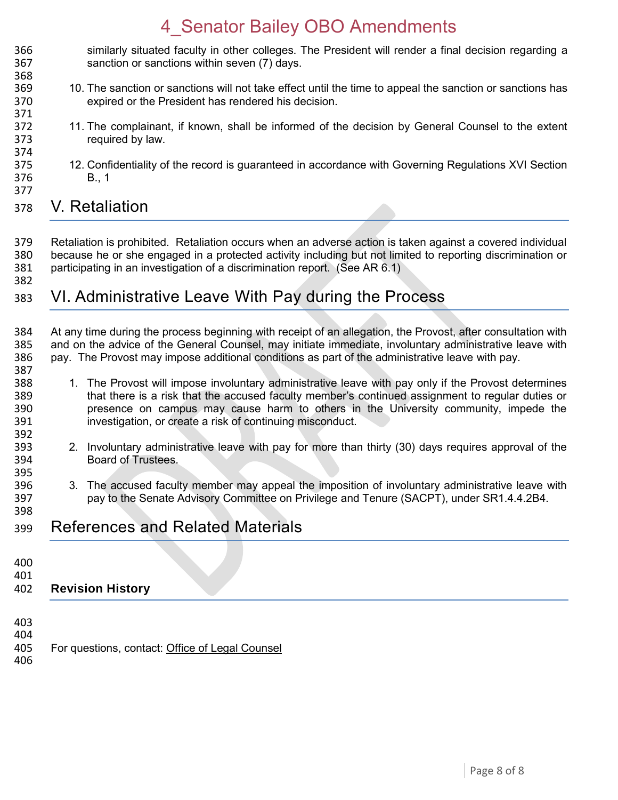- 366 similarly situated faculty in other colleges. The President will render a final decision regarding a 367 sanction or sanctions within seven (7) days.
- 10. The sanction or sanctions will not take effect until the time to appeal the sanction or sanctions has expired or the President has rendered his decision.
- 372 11. The complainant, if known, shall be informed of the decision by General Counsel to the extent 1373 required by law.
- 374<br>375 375 12. Confidentiality of the record is guaranteed in accordance with Governing Regulations XVI Section<br>376 **1988** B., 1 **B., 1**
- V. Retaliation

- Retaliation is prohibited. Retaliation occurs when an adverse action is taken against a covered individual because he or she engaged in a protected activity including but not limited to reporting discrimination or participating in an investigation of a discrimination report. (See AR 6.1)
- VI. Administrative Leave With Pay during the Process
- 384 At any time during the process beginning with receipt of an allegation, the Provost, after consultation with<br>385 and on the advice of the General Counsel, may initiate immediate, involuntary administrative leave with and on the advice of the General Counsel, may initiate immediate, involuntary administrative leave with pay. The Provost may impose additional conditions as part of the administrative leave with pay.
- 1. The Provost will impose involuntary administrative leave with pay only if the Provost determines that there is a risk that the accused faculty member's continued assignment to regular duties or presence on campus may cause harm to others in the University community, impede the investigation, or create a risk of continuing misconduct.
- 392<br>393 2. Involuntary administrative leave with pay for more than thirty (30) days requires approval of the Board of Trustees.
- 3. The accused faculty member may appeal the imposition of involuntary administrative leave with pay to the Senate Advisory Committee on Privilege and Tenure (SACPT), under SR1.4.4.2B4.
- References and Related Materials
- 

387<br>388

#### **Revision History**

- 
- 404<br>405 For questions, contact: [Office of Legal Counsel](mailto:LegalRegs@uky.edu)
-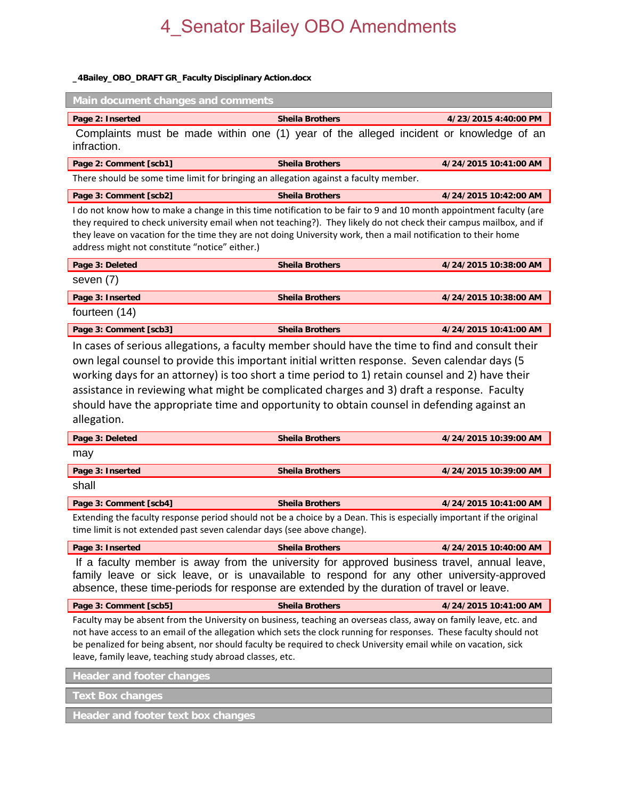#### **\_4Bailey\_OBO\_DRAFT GR\_Faculty Disciplinary Action.docx**

| Main document changes and comments                                                                                                                                                                                                                                                                                                                                                                                                                                                                                                                                                                                                                                                                                                                                                                                                                                                                                                                          |                        |                       |
|-------------------------------------------------------------------------------------------------------------------------------------------------------------------------------------------------------------------------------------------------------------------------------------------------------------------------------------------------------------------------------------------------------------------------------------------------------------------------------------------------------------------------------------------------------------------------------------------------------------------------------------------------------------------------------------------------------------------------------------------------------------------------------------------------------------------------------------------------------------------------------------------------------------------------------------------------------------|------------------------|-----------------------|
| Page 2: Inserted                                                                                                                                                                                                                                                                                                                                                                                                                                                                                                                                                                                                                                                                                                                                                                                                                                                                                                                                            | <b>Sheila Brothers</b> | 4/23/2015 4:40:00 PM  |
| Complaints must be made within one (1) year of the alleged incident or knowledge of an<br>infraction.                                                                                                                                                                                                                                                                                                                                                                                                                                                                                                                                                                                                                                                                                                                                                                                                                                                       |                        |                       |
| Page 2: Comment [scb1]                                                                                                                                                                                                                                                                                                                                                                                                                                                                                                                                                                                                                                                                                                                                                                                                                                                                                                                                      | <b>Sheila Brothers</b> | 4/24/2015 10:41:00 AM |
| There should be some time limit for bringing an allegation against a faculty member.                                                                                                                                                                                                                                                                                                                                                                                                                                                                                                                                                                                                                                                                                                                                                                                                                                                                        |                        |                       |
| Page 3: Comment [scb2]                                                                                                                                                                                                                                                                                                                                                                                                                                                                                                                                                                                                                                                                                                                                                                                                                                                                                                                                      | <b>Sheila Brothers</b> | 4/24/2015 10:42:00 AM |
| I do not know how to make a change in this time notification to be fair to 9 and 10 month appointment faculty (are<br>they required to check university email when not teaching?). They likely do not check their campus mailbox, and if<br>they leave on vacation for the time they are not doing University work, then a mail notification to their home<br>address might not constitute "notice" either.)                                                                                                                                                                                                                                                                                                                                                                                                                                                                                                                                                |                        |                       |
| Page 3: Deleted                                                                                                                                                                                                                                                                                                                                                                                                                                                                                                                                                                                                                                                                                                                                                                                                                                                                                                                                             | <b>Sheila Brothers</b> | 4/24/2015 10:38:00 AM |
| seven (7)                                                                                                                                                                                                                                                                                                                                                                                                                                                                                                                                                                                                                                                                                                                                                                                                                                                                                                                                                   |                        |                       |
| Page 3: Inserted                                                                                                                                                                                                                                                                                                                                                                                                                                                                                                                                                                                                                                                                                                                                                                                                                                                                                                                                            | <b>Sheila Brothers</b> | 4/24/2015 10:38:00 AM |
| fourteen (14)                                                                                                                                                                                                                                                                                                                                                                                                                                                                                                                                                                                                                                                                                                                                                                                                                                                                                                                                               |                        |                       |
| Page 3: Comment [scb3]                                                                                                                                                                                                                                                                                                                                                                                                                                                                                                                                                                                                                                                                                                                                                                                                                                                                                                                                      | <b>Sheila Brothers</b> | 4/24/2015 10:41:00 AM |
| In cases of serious allegations, a faculty member should have the time to find and consult their<br>own legal counsel to provide this important initial written response. Seven calendar days (5<br>working days for an attorney) is too short a time period to 1) retain counsel and 2) have their<br>assistance in reviewing what might be complicated charges and 3) draft a response. Faculty<br>should have the appropriate time and opportunity to obtain counsel in defending against an<br>allegation.<br>Page 3: Deleted<br><b>Sheila Brothers</b><br>4/24/2015 10:39:00 AM<br>may<br>Page 3: Inserted<br><b>Sheila Brothers</b><br>4/24/2015 10:39:00 AM<br>shall<br>Page 3: Comment [scb4]<br><b>Sheila Brothers</b><br>4/24/2015 10:41:00 AM<br>Extending the faculty response period should not be a choice by a Dean. This is especially important if the original<br>time limit is not extended past seven calendar days (see above change). |                        |                       |
| Page 3: Inserted                                                                                                                                                                                                                                                                                                                                                                                                                                                                                                                                                                                                                                                                                                                                                                                                                                                                                                                                            | <b>Sheila Brothers</b> | 4/24/2015 10:40:00 AM |
| If a faculty member is away from the university for approved business travel, annual leave,<br>family leave or sick leave, or is unavailable to respond for any other university-approved<br>absence, these time-periods for response are extended by the duration of travel or leave.                                                                                                                                                                                                                                                                                                                                                                                                                                                                                                                                                                                                                                                                      |                        |                       |
| Page 3: Comment [scb5]                                                                                                                                                                                                                                                                                                                                                                                                                                                                                                                                                                                                                                                                                                                                                                                                                                                                                                                                      | <b>Sheila Brothers</b> | 4/24/2015 10:41:00 AM |
| Faculty may be absent from the University on business, teaching an overseas class, away on family leave, etc. and<br>not have access to an email of the allegation which sets the clock running for responses. These faculty should not<br>be penalized for being absent, nor should faculty be required to check University email while on vacation, sick<br>leave, family leave, teaching study abroad classes, etc.                                                                                                                                                                                                                                                                                                                                                                                                                                                                                                                                      |                        |                       |
| <b>Header and footer changes</b>                                                                                                                                                                                                                                                                                                                                                                                                                                                                                                                                                                                                                                                                                                                                                                                                                                                                                                                            |                        |                       |
| <b>Text Box changes</b>                                                                                                                                                                                                                                                                                                                                                                                                                                                                                                                                                                                                                                                                                                                                                                                                                                                                                                                                     |                        |                       |
| Header and footer text box changes                                                                                                                                                                                                                                                                                                                                                                                                                                                                                                                                                                                                                                                                                                                                                                                                                                                                                                                          |                        |                       |